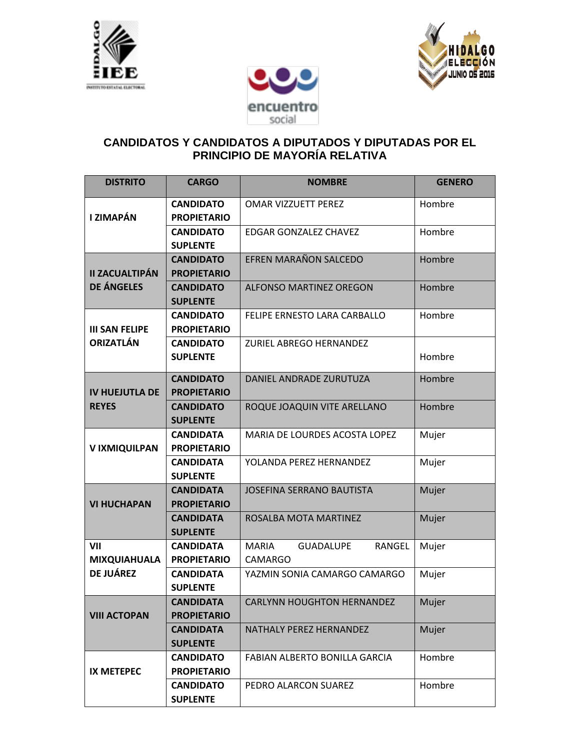





## **CANDIDATOS Y CANDIDATOS A DIPUTADOS Y DIPUTADAS POR EL PRINCIPIO DE MAYORÍA RELATIVA**

| <b>DISTRITO</b>                            | <b>CARGO</b>                           | <b>NOMBRE</b>                                                       | <b>GENERO</b> |
|--------------------------------------------|----------------------------------------|---------------------------------------------------------------------|---------------|
| I ZIMAPÁN                                  | <b>CANDIDATO</b><br><b>PROPIETARIO</b> | OMAR VIZZUETT PEREZ                                                 | Hombre        |
|                                            | <b>CANDIDATO</b><br><b>SUPLENTE</b>    | EDGAR GONZALEZ CHAVEZ                                               | Hombre        |
| <b>II ZACUALTIPÁN</b><br><b>DE ÁNGELES</b> | <b>CANDIDATO</b><br><b>PROPIETARIO</b> | EFREN MARAÑON SALCEDO                                               | Hombre        |
|                                            | <b>CANDIDATO</b><br><b>SUPLENTE</b>    | <b>ALFONSO MARTINEZ OREGON</b>                                      | Hombre        |
| <b>III SAN FELIPE</b><br><b>ORIZATLÁN</b>  | <b>CANDIDATO</b><br><b>PROPIETARIO</b> | FELIPE ERNESTO LARA CARBALLO                                        | Hombre        |
|                                            | <b>CANDIDATO</b><br><b>SUPLENTE</b>    | ZURIEL ABREGO HERNANDEZ                                             | Hombre        |
| <b>IV HUEJUTLA DE</b><br><b>REYES</b>      | <b>CANDIDATO</b><br><b>PROPIETARIO</b> | <b>DANIEL ANDRADE ZURUTUZA</b>                                      | Hombre        |
|                                            | <b>CANDIDATO</b><br><b>SUPLENTE</b>    | ROQUE JOAQUIN VITE ARELLANO                                         | Hombre        |
| <b>VIXMIQUILPAN</b>                        | <b>CANDIDATA</b><br><b>PROPIETARIO</b> | MARIA DE LOURDES ACOSTA LOPEZ                                       | Mujer         |
|                                            | <b>CANDIDATA</b><br><b>SUPLENTE</b>    | YOLANDA PEREZ HERNANDEZ                                             | Mujer         |
| <b>VI HUCHAPAN</b>                         | <b>CANDIDATA</b><br><b>PROPIETARIO</b> | <b>JOSEFINA SERRANO BAUTISTA</b>                                    | Mujer         |
|                                            | <b>CANDIDATA</b><br><b>SUPLENTE</b>    | ROSALBA MOTA MARTINEZ                                               | Mujer         |
| VII<br><b>MIXQUIAHUALA</b>                 | <b>CANDIDATA</b><br><b>PROPIETARIO</b> | <b>MARIA</b><br><b>GUADALUPE</b><br><b>RANGEL</b><br><b>CAMARGO</b> | Mujer         |
| <b>DE JUÁREZ</b>                           | <b>CANDIDATA</b><br><b>SUPLENTE</b>    | YAZMIN SONIA CAMARGO CAMARGO                                        | Mujer         |
| <b>VIII ACTOPAN</b>                        | <b>CANDIDATA</b><br><b>PROPIETARIO</b> | <b>CARLYNN HOUGHTON HERNANDEZ</b>                                   | Mujer         |
|                                            | <b>CANDIDATA</b><br><b>SUPLENTE</b>    | NATHALY PEREZ HERNANDEZ                                             | Mujer         |
| IX METEPEC                                 | <b>CANDIDATO</b><br><b>PROPIETARIO</b> | FABIAN ALBERTO BONILLA GARCIA                                       | Hombre        |
|                                            | <b>CANDIDATO</b><br><b>SUPLENTE</b>    | PEDRO ALARCON SUAREZ                                                | Hombre        |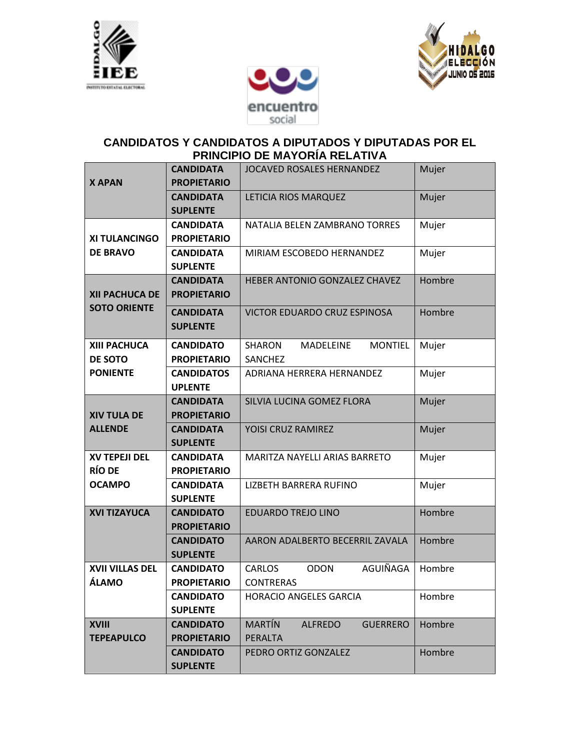





## **CANDIDATOS Y CANDIDATOS A DIPUTADOS Y DIPUTADAS POR EL PRINCIPIO DE MAYORÍA RELATIVA**

| <b>X APAN</b>                                     | <b>CANDIDATA</b><br><b>PROPIETARIO</b> | JOCAVED ROSALES HERNANDEZ                                             | Mujer  |
|---------------------------------------------------|----------------------------------------|-----------------------------------------------------------------------|--------|
|                                                   | <b>CANDIDATA</b><br><b>SUPLENTE</b>    | LETICIA RIOS MARQUEZ                                                  | Mujer  |
| <b>XI TULANCINGO</b><br><b>DE BRAVO</b>           | <b>CANDIDATA</b><br><b>PROPIETARIO</b> | NATALIA BELEN ZAMBRANO TORRES                                         | Mujer  |
|                                                   | <b>CANDIDATA</b><br><b>SUPLENTE</b>    | MIRIAM ESCOBEDO HERNANDEZ                                             | Mujer  |
| <b>XII PACHUCA DE</b><br><b>SOTO ORIENTE</b>      | <b>CANDIDATA</b><br><b>PROPIETARIO</b> | HEBER ANTONIO GONZALEZ CHAVEZ                                         | Hombre |
|                                                   | <b>CANDIDATA</b><br><b>SUPLENTE</b>    | VICTOR EDUARDO CRUZ ESPINOSA                                          | Hombre |
| <b>XIII PACHUCA</b><br>DE SOTO<br><b>PONIENTE</b> | <b>CANDIDATO</b><br><b>PROPIETARIO</b> | <b>SHARON</b><br><b>MADELEINE</b><br><b>MONTIEL</b><br><b>SANCHEZ</b> | Mujer  |
|                                                   | <b>CANDIDATOS</b><br><b>UPLENTE</b>    | ADRIANA HERRERA HERNANDEZ                                             | Mujer  |
| <b>XIV TULA DE</b><br><b>ALLENDE</b>              | <b>CANDIDATA</b><br><b>PROPIETARIO</b> | SILVIA LUCINA GOMEZ FLORA                                             | Mujer  |
|                                                   | <b>CANDIDATA</b><br><b>SUPLENTE</b>    | YOISI CRUZ RAMIREZ                                                    | Mujer  |
| <b>XV TEPEJI DEL</b><br><b>RÍO DE</b>             | <b>CANDIDATA</b><br><b>PROPIETARIO</b> | MARITZA NAYELLI ARIAS BARRETO                                         | Mujer  |
| <b>OCAMPO</b>                                     | <b>CANDIDATA</b><br><b>SUPLENTE</b>    | LIZBETH BARRERA RUFINO                                                | Mujer  |
| <b>XVI TIZAYUCA</b>                               | <b>CANDIDATO</b><br><b>PROPIETARIO</b> | <b>EDUARDO TREJO LINO</b>                                             | Hombre |
|                                                   | <b>CANDIDATO</b><br><b>SUPLENTE</b>    | AARON ADALBERTO BECERRIL ZAVALA                                       | Hombre |
| <b>XVII VILLAS DEL</b><br><b>ÁLAMO</b>            | <b>CANDIDATO</b><br><b>PROPIETARIO</b> | AGUIÑAGA<br><b>ODON</b><br><b>CARLOS</b><br><b>CONTRERAS</b>          | Hombre |
|                                                   | <b>CANDIDATO</b><br><b>SUPLENTE</b>    | <b>HORACIO ANGELES GARCIA</b>                                         | Hombre |
| <b>XVIII</b><br><b>TEPEAPULCO</b>                 | <b>CANDIDATO</b><br><b>PROPIETARIO</b> | <b>MARTÍN</b><br><b>ALFREDO</b><br><b>GUERRERO</b><br>PERALTA         | Hombre |
|                                                   | <b>CANDIDATO</b><br><b>SUPLENTE</b>    | PEDRO ORTIZ GONZALEZ                                                  | Hombre |